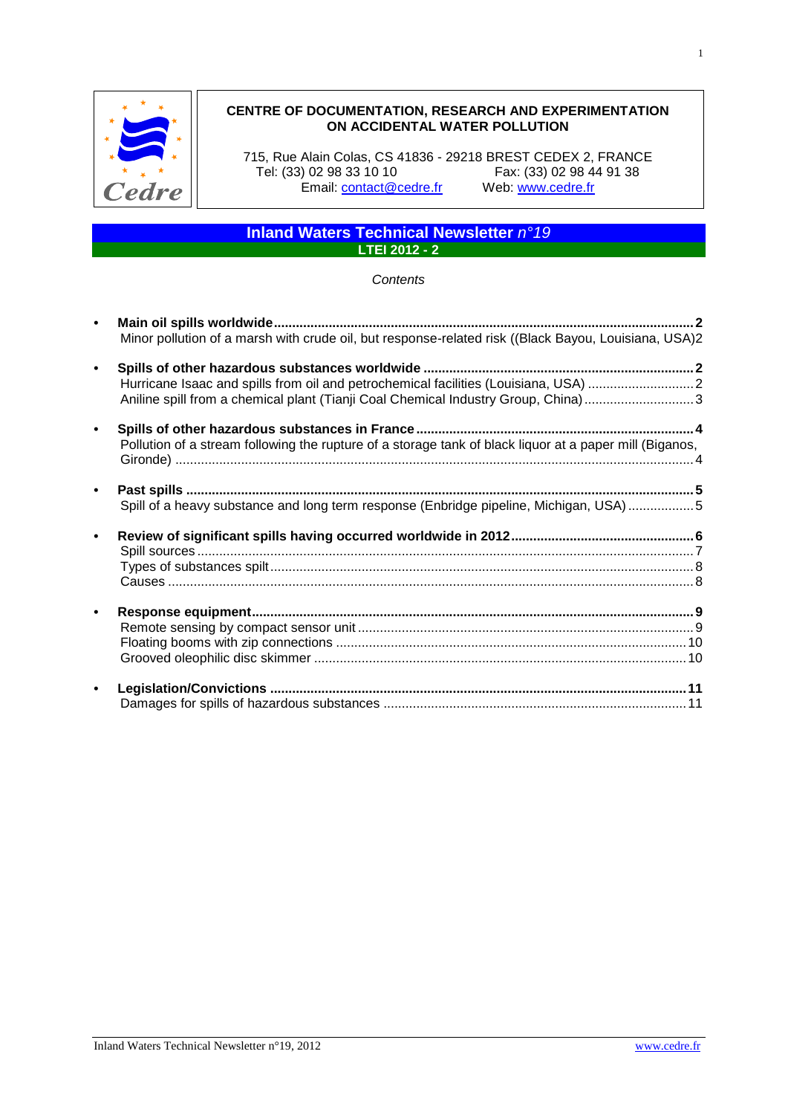

# **CENTRE OF DOCUMENTATION, RESEARCH AND EXPERIMENTATION ON ACCIDENTAL WATER POLLUTION**

715, Rue Alain Colas, CS 41836 - 29218 BREST CEDEX 2, FRANCE Fax: (33) 02 98 44 91 38<br>Web: www.cedre.fr Email: **contact@cedre.fr** 

# **Inland Waters Technical Newsletter** *n°19* **LTEI 2012 - 2**

#### *Contents*

| $\bullet$ |                                                                                                         |  |
|-----------|---------------------------------------------------------------------------------------------------------|--|
|           | Minor pollution of a marsh with crude oil, but response-related risk ((Black Bayou, Louisiana, USA)2    |  |
| $\bullet$ |                                                                                                         |  |
|           |                                                                                                         |  |
|           | Aniline spill from a chemical plant (Tianji Coal Chemical Industry Group, China)3                       |  |
| $\bullet$ |                                                                                                         |  |
|           | Pollution of a stream following the rupture of a storage tank of black liquor at a paper mill (Biganos, |  |
|           |                                                                                                         |  |
| $\bullet$ |                                                                                                         |  |
|           | Spill of a heavy substance and long term response (Enbridge pipeline, Michigan, USA) 5                  |  |
| $\bullet$ |                                                                                                         |  |
|           |                                                                                                         |  |
|           |                                                                                                         |  |
|           |                                                                                                         |  |
| $\bullet$ |                                                                                                         |  |
|           |                                                                                                         |  |
|           |                                                                                                         |  |
|           |                                                                                                         |  |
| $\bullet$ |                                                                                                         |  |
|           |                                                                                                         |  |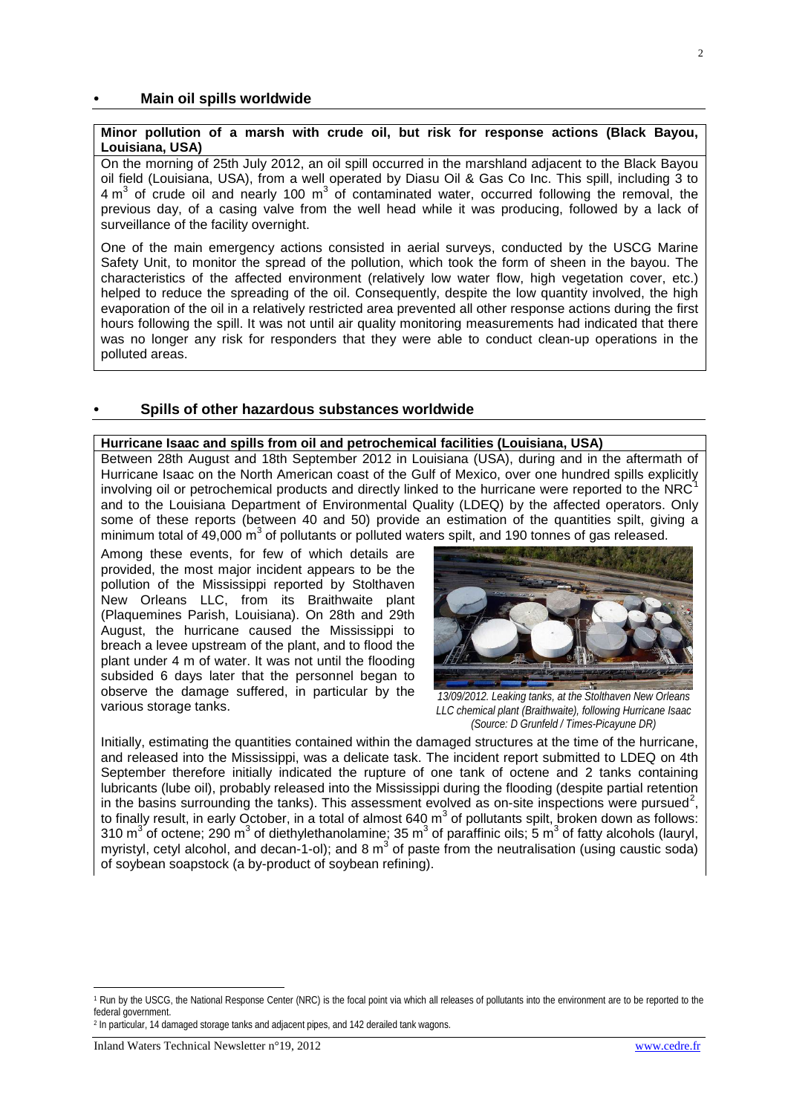### <span id="page-1-0"></span>**• Main oil spills worldwide**

### <span id="page-1-1"></span>**Minor pollution of a marsh with crude oil, but risk for response actions (Black Bayou, Louisiana, USA)**

On the morning of 25th July 2012, an oil spill occurred in the marshland adjacent to the Black Bayou oil field (Louisiana, USA), from a well operated by Diasu Oil & Gas Co Inc. This spill, including 3 to  $4 m<sup>3</sup>$  of crude oil and nearly 100 m<sup>3</sup> of contaminated water, occurred following the removal, the previous day, of a casing valve from the well head while it was producing, followed by a lack of surveillance of the facility overnight.

One of the main emergency actions consisted in aerial surveys, conducted by the USCG Marine Safety Unit, to monitor the spread of the pollution, which took the form of sheen in the bayou. The characteristics of the affected environment (relatively low water flow, high vegetation cover, etc.) helped to reduce the spreading of the oil. Consequently, despite the low quantity involved, the high evaporation of the oil in a relatively restricted area prevented all other response actions during the first hours following the spill. It was not until air quality monitoring measurements had indicated that there was no longer any risk for responders that they were able to conduct clean-up operations in the polluted areas.

#### <span id="page-1-2"></span>**• Spills of other hazardous substances worldwide**

## <span id="page-1-3"></span>**Hurricane Isaac and spills from oil and petrochemical facilities (Louisiana, USA)**

Between 28th August and 18th September 2012 in Louisiana (USA), during and in the aftermath of Hurricane Isaac on the North American coast of the Gulf of Mexico, over one hundred spills explicitly involving oil or petrochemical products and directly linked to the hurricane were reported to the NRC and to the Louisiana Department of Environmental Quality (LDEQ) by the affected operators. Only some of these reports (between 40 and 50) provide an estimation of the quantities spilt, giving a minimum total of  $49,000 \text{ m}^3$  of pollutants or polluted waters spilt, and 190 tonnes of gas released.

Among these events, for few of which details are provided, the most major incident appears to be the pollution of the Mississippi reported by Stolthaven New Orleans LLC, from its Braithwaite plant (Plaquemines Parish, Louisiana). On 28th and 29th August, the hurricane caused the Mississippi to breach a levee upstream of the plant, and to flood the plant under 4 m of water. It was not until the flooding subsided 6 days later that the personnel began to observe the damage suffered, in particular by the various storage tanks. various storage tanks. *13/09/2012. Leaking tanks, at the Stolthaven New Orleans LLC chemical plant (Braithwaite), following Hurricane Isaac* 



*(Source: D Grunfeld / Times-Picayune DR)*

Initially, estimating the quantities contained within the damaged structures at the time of the hurricane, and released into the Mississippi, was a delicate task. The incident report submitted to LDEQ on 4th September therefore initially indicated the rupture of one tank of octene and 2 tanks containing lubricants (lube oil), probably released into the Mississippi during the flooding (despite partial retention in the basins surrounding the tanks). This assessment evolved as on-site inspections were pursued<sup>[2](#page-1-5)</sup>, to finally result, in early October, in a total of almost 640  $m<sup>3</sup>$  of pollutants spilt, broken down as follows: 310  $m^3$  of octene; 290  $m^3$  of diethylethanolamine; 35  $m^3$  of paraffinic oils; 5  $m^3$  of fatty alcohols (lauryl, myristyl, cetyl alcohol, and decan-1-ol); and 8  $m^3$  of paste from the neutralisation (using caustic soda) of soybean soapstock (a by-product of soybean refining).

<span id="page-1-5"></span><sup>2</sup> In particular, 14 damaged storage tanks and adjacent pipes, and 142 derailed tank wagons.

1

<span id="page-1-4"></span><sup>&</sup>lt;sup>1</sup> Run by the USCG, the National Response Center (NRC) is the focal point via which all releases of pollutants into the environment are to be reported to the federal government.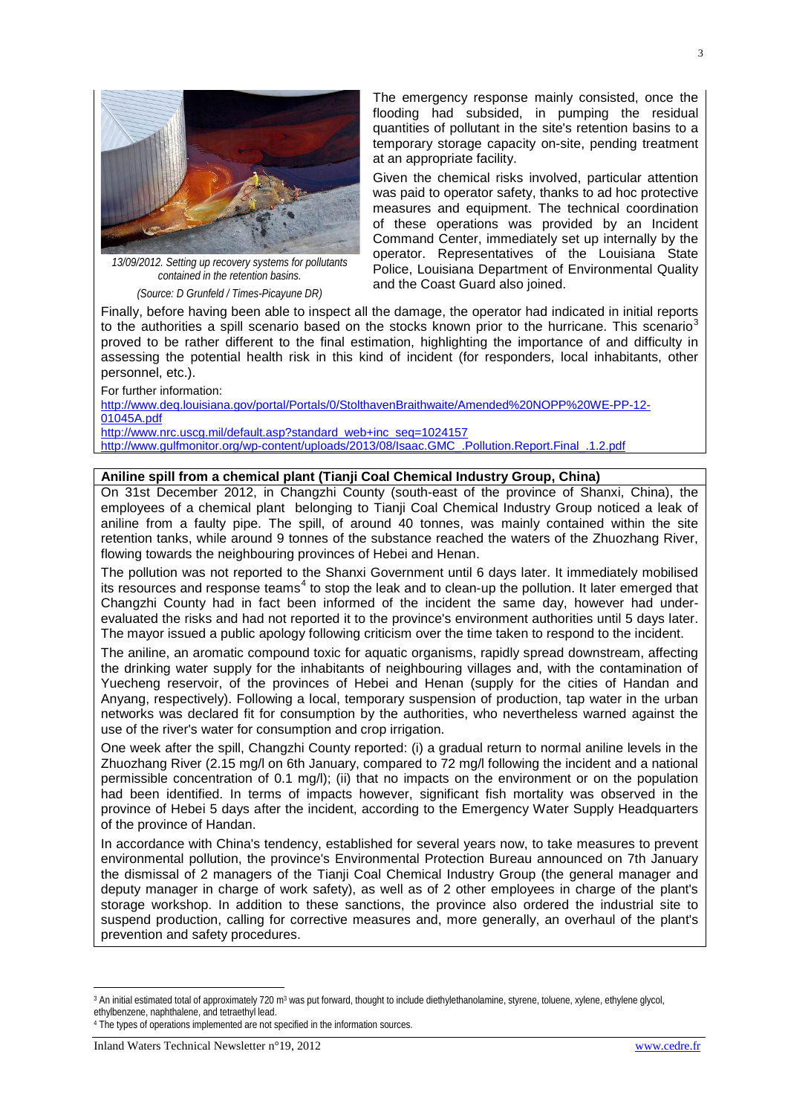

*13/09/2012. Setting up recovery systems for pollutants contained in the retention basins. (Source: D Grunfeld / Times-Picayune DR)*

The emergency response mainly consisted, once the flooding had subsided, in pumping the residual quantities of pollutant in the site's retention basins to a temporary storage capacity on-site, pending treatment at an appropriate facility.

Given the chemical risks involved, particular attention was paid to operator safety, thanks to ad hoc protective measures and equipment. The technical coordination of these operations was provided by an Incident Command Center, immediately set up internally by the operator. Representatives of the Louisiana State Police, Louisiana Department of Environmental Quality and the Coast Guard also joined.

Finally, before having been able to inspect all the damage, the operator had indicated in initial reports to the authorities a spill scenario based on the stocks known prior to the hurricane. This scenario<sup>[3](#page-2-1)</sup> proved to be rather different to the final estimation, highlighting the importance of and difficulty in assessing the potential health risk in this kind of incident (for responders, local inhabitants, other personnel, etc.).

For further information: [http://www.deq.louisiana.gov/portal/Portals/0/StolthavenBraithwaite/Amended%20NOPP%20WE-PP-12-](http://www.deq.louisiana.gov/portal/Portals/0/StolthavenBraithwaite/Amended%20NOPP%20WE-PP-12-01045A.pdf) [01045A.pdf](http://www.deq.louisiana.gov/portal/Portals/0/StolthavenBraithwaite/Amended%20NOPP%20WE-PP-12-01045A.pdf) [http://www.nrc.uscg.mil/default.asp?standard\\_web+inc\\_seq=1024157](http://www.nrc.uscg.mil/default.asp?standard_web+inc_seq=1024157) [http://www.gulfmonitor.org/wp-content/uploads/2013/08/Isaac.GMC\\_.Pollution.Report.Final\\_.1.2.pdf](http://www.gulfmonitor.org/wp-content/uploads/2013/08/Isaac.GMC_.Pollution.Report.Final_.1.2.pdf)

## <span id="page-2-0"></span>**Aniline spill from a chemical plant (Tianji Coal Chemical Industry Group, China)**

On 31st December 2012, in Changzhi County (south-east of the province of Shanxi, China), the employees of a chemical plant belonging to Tianji Coal Chemical Industry Group noticed a leak of aniline from a faulty pipe. The spill, of around 40 tonnes, was mainly contained within the site retention tanks, while around 9 tonnes of the substance reached the waters of the Zhuozhang River, flowing towards the neighbouring provinces of Hebei and Henan.

The pollution was not reported to the Shanxi Government until 6 days later. It immediately mobilised its resources and response teams<sup>[4](#page-2-2)</sup> to stop the leak and to clean-up the pollution. It later emerged that Changzhi County had in fact been informed of the incident the same day, however had underevaluated the risks and had not reported it to the province's environment authorities until 5 days later. The mayor issued a public apology following criticism over the time taken to respond to the incident.

The aniline, an aromatic compound toxic for aquatic organisms, rapidly spread downstream, affecting the drinking water supply for the inhabitants of neighbouring villages and, with the contamination of Yuecheng reservoir, of the provinces of Hebei and Henan (supply for the cities of Handan and Anyang, respectively). Following a local, temporary suspension of production, tap water in the urban networks was declared fit for consumption by the authorities, who nevertheless warned against the use of the river's water for consumption and crop irrigation.

One week after the spill, Changzhi County reported: (i) a gradual return to normal aniline levels in the Zhuozhang River (2.15 mg/l on 6th January, compared to 72 mg/l following the incident and a national permissible concentration of 0.1 mg/l); (ii) that no impacts on the environment or on the population had been identified. In terms of impacts however, significant fish mortality was observed in the province of Hebei 5 days after the incident, according to the Emergency Water Supply Headquarters of the province of Handan.

In accordance with China's tendency, established for several years now, to take measures to prevent environmental pollution, the province's Environmental Protection Bureau announced on 7th January the dismissal of 2 managers of the Tianji Coal Chemical Industry Group (the general manager and deputy manager in charge of work safety), as well as of 2 other employees in charge of the plant's storage workshop. In addition to these sanctions, the province also ordered the industrial site to suspend production, calling for corrective measures and, more generally, an overhaul of the plant's prevention and safety procedures.

1

<span id="page-2-1"></span><sup>&</sup>lt;sup>3</sup> An initial estimated total of approximately 720 m<sup>3</sup> was put forward, thought to include diethylethanolamine, styrene, toluene, xylene, ethylene glycol, ethylbenzene, naphthalene, and tetraethyl lead.

<span id="page-2-2"></span><sup>&</sup>lt;sup>4</sup> The types of operations implemented are not specified in the information sources.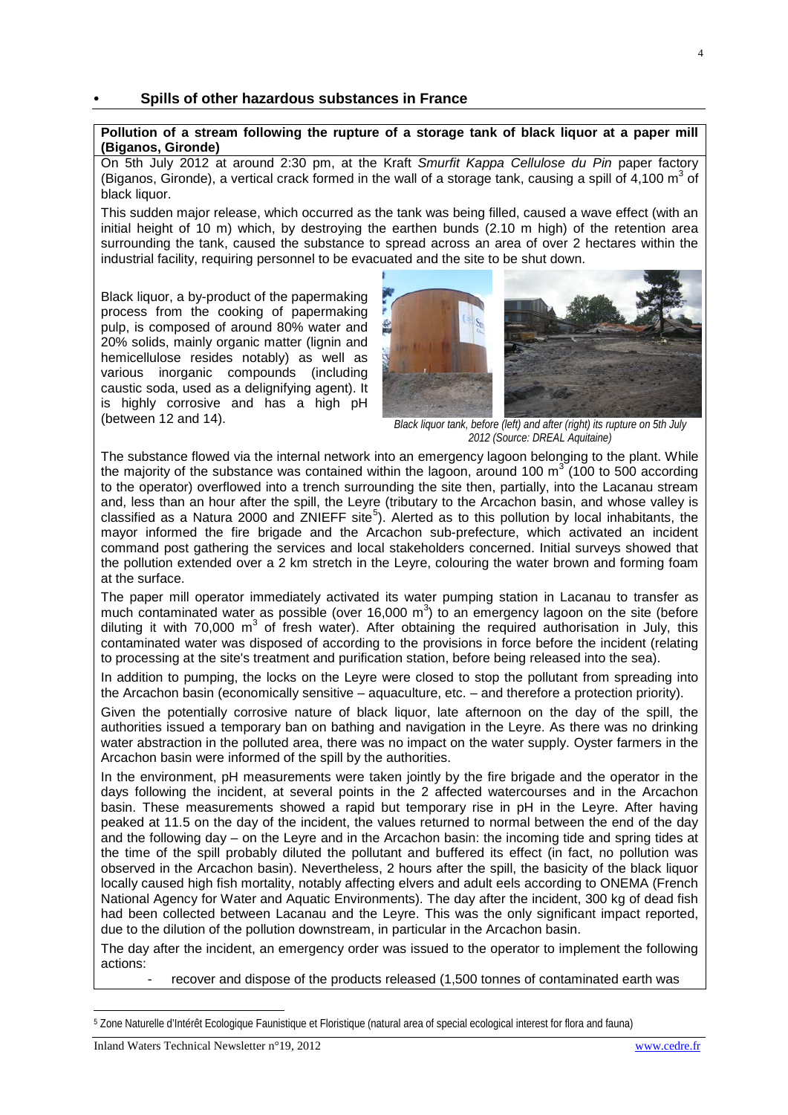## <span id="page-3-0"></span>**• Spills of other hazardous substances in France**

### <span id="page-3-1"></span>**Pollution of a stream following the rupture of a storage tank of black liquor at a paper mill (Biganos, Gironde)**

On 5th July 2012 at around 2:30 pm, at the Kraft *Smurfit Kappa Cellulose du Pin* paper factory (Biganos, Gironde), a vertical crack formed in the wall of a storage tank, causing a spill of 4,100  $m<sup>3</sup>$  of black liquor.

This sudden major release, which occurred as the tank was being filled, caused a wave effect (with an initial height of 10 m) which, by destroying the earthen bunds (2.10 m high) of the retention area surrounding the tank, caused the substance to spread across an area of over 2 hectares within the industrial facility, requiring personnel to be evacuated and the site to be shut down.

Black liquor, a by-product of the papermaking process from the cooking of papermaking pulp, is composed of around 80% water and 20% solids, mainly organic matter (lignin and hemicellulose resides notably) as well as various inorganic compounds (including caustic soda, used as a delignifying agent). It is highly corrosive and has a high pH<br>(between 12 and 14).



Black liquor tank, before (left) and after (right) its rupture on 5th July *2012 (Source: DREAL Aquitaine)*

The substance flowed via the internal network into an emergency lagoon belonging to the plant. While the majority of the substance was contained within the lagoon, around 100  $\text{m}^3$  (100 to 500 according to the operator) overflowed into a trench surrounding the site then, partially, into the Lacanau stream and, less than an hour after the spill, the Leyre (tributary to the Arcachon basin, and whose valley is classified as a Natura 2000 and ZNIEFF site<sup>[5](#page-3-2)</sup>). Alerted as to this pollution by local inhabitants, the mayor informed the fire brigade and the Arcachon sub-prefecture, which activated an incident command post gathering the services and local stakeholders concerned. Initial surveys showed that the pollution extended over a 2 km stretch in the Leyre, colouring the water brown and forming foam at the surface.

The paper mill operator immediately activated its water pumping station in Lacanau to transfer as much contaminated water as possible (over 16,000  $m^3$ ) to an emergency lagoon on the site (before diluting it with 70,000  $m<sup>3</sup>$  of fresh water). After obtaining the required authorisation in July, this contaminated water was disposed of according to the provisions in force before the incident (relating to processing at the site's treatment and purification station, before being released into the sea).

In addition to pumping, the locks on the Leyre were closed to stop the pollutant from spreading into the Arcachon basin (economically sensitive – aquaculture, etc. – and therefore a protection priority).

Given the potentially corrosive nature of black liquor, late afternoon on the day of the spill, the authorities issued a temporary ban on bathing and navigation in the Leyre. As there was no drinking water abstraction in the polluted area, there was no impact on the water supply. Oyster farmers in the Arcachon basin were informed of the spill by the authorities.

In the environment, pH measurements were taken jointly by the fire brigade and the operator in the days following the incident, at several points in the 2 affected watercourses and in the Arcachon basin. These measurements showed a rapid but temporary rise in pH in the Leyre. After having peaked at 11.5 on the day of the incident, the values returned to normal between the end of the day and the following day – on the Leyre and in the Arcachon basin: the incoming tide and spring tides at the time of the spill probably diluted the pollutant and buffered its effect (in fact, no pollution was observed in the Arcachon basin). Nevertheless, 2 hours after the spill, the basicity of the black liquor locally caused high fish mortality, notably affecting elvers and adult eels according to ONEMA (French National Agency for Water and Aquatic Environments). The day after the incident, 300 kg of dead fish had been collected between Lacanau and the Leyre. This was the only significant impact reported, due to the dilution of the pollution downstream, in particular in the Arcachon basin.

The day after the incident, an emergency order was issued to the operator to implement the following actions:

recover and dispose of the products released (1,500 tonnes of contaminated earth was

<span id="page-3-2"></span><sup>-</sup><sup>5</sup> Zone Naturelle d'Intérêt Ecologique Faunistique et Floristique (natural area of special ecological interest for flora and fauna)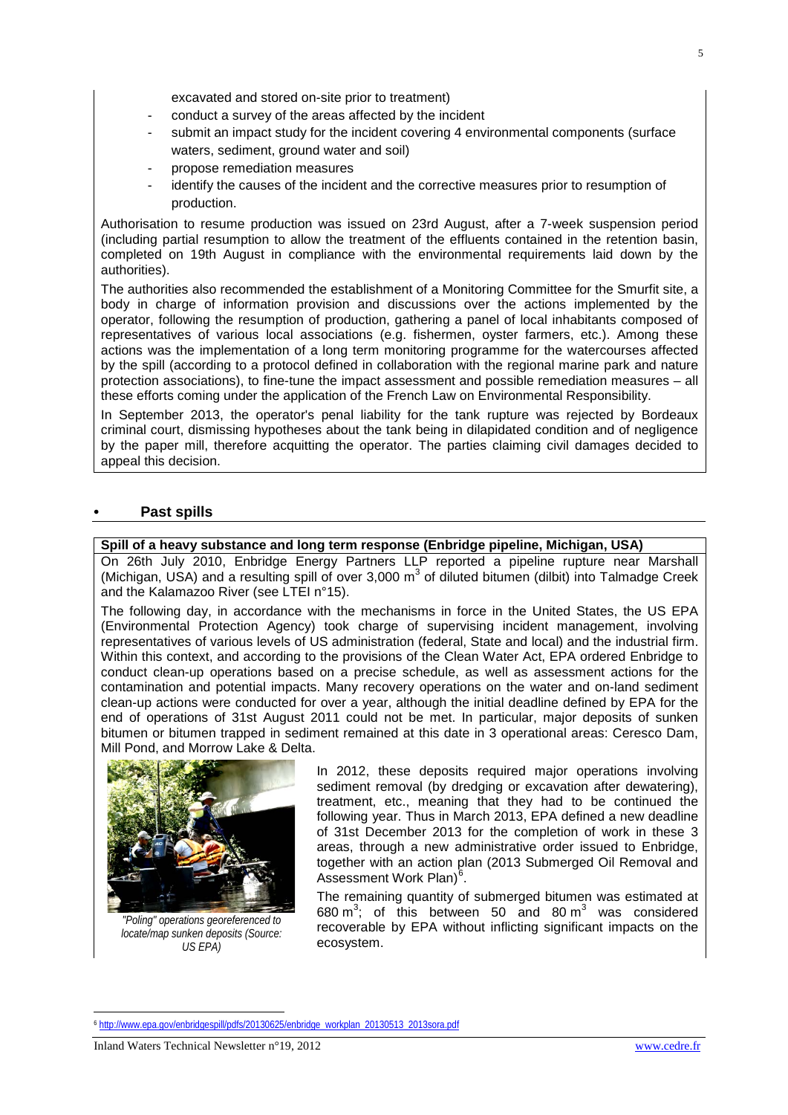excavated and stored on-site prior to treatment)

- conduct a survey of the areas affected by the incident
- submit an impact study for the incident covering 4 environmental components (surface waters, sediment, ground water and soil)
- propose remediation measures
- identify the causes of the incident and the corrective measures prior to resumption of production.

Authorisation to resume production was issued on 23rd August, after a 7-week suspension period (including partial resumption to allow the treatment of the effluents contained in the retention basin, completed on 19th August in compliance with the environmental requirements laid down by the authorities).

The authorities also recommended the establishment of a Monitoring Committee for the Smurfit site, a body in charge of information provision and discussions over the actions implemented by the operator, following the resumption of production, gathering a panel of local inhabitants composed of representatives of various local associations (e.g. fishermen, oyster farmers, etc.). Among these actions was the implementation of a long term monitoring programme for the watercourses affected by the spill (according to a protocol defined in collaboration with the regional marine park and nature protection associations), to fine-tune the impact assessment and possible remediation measures – all these efforts coming under the application of the French Law on Environmental Responsibility.

In September 2013, the operator's penal liability for the tank rupture was rejected by Bordeaux criminal court, dismissing hypotheses about the tank being in dilapidated condition and of negligence by the paper mill, therefore acquitting the operator. The parties claiming civil damages decided to appeal this decision.

## <span id="page-4-0"></span>**• Past spills**

## <span id="page-4-1"></span>**Spill of a heavy substance and long term response (Enbridge pipeline, Michigan, USA)**

On 26th July 2010, Enbridge Energy Partners LLP reported a pipeline rupture near Marshall (Michigan, USA) and a resulting spill of over  $3,000 \text{ m}^3$  of diluted bitumen (dilbit) into Talmadge Creek and the Kalamazoo River (see LTEI n°15).

The following day, in accordance with the mechanisms in force in the United States, the US EPA (Environmental Protection Agency) took charge of supervising incident management, involving representatives of various levels of US administration (federal, State and local) and the industrial firm. Within this context, and according to the provisions of the Clean Water Act, EPA ordered Enbridge to conduct clean-up operations based on a precise schedule, as well as assessment actions for the contamination and potential impacts. Many recovery operations on the water and on-land sediment clean-up actions were conducted for over a year, although the initial deadline defined by EPA for the end of operations of 31st August 2011 could not be met. In particular, major deposits of sunken bitumen or bitumen trapped in sediment remained at this date in 3 operational areas: Ceresco Dam, Mill Pond, and Morrow Lake & Delta.



*"Poling" operations georeferenced to locate/map sunken deposits (Source: US EPA)*

In 2012, these deposits required major operations involving sediment removal (by dredging or excavation after dewatering), treatment, etc., meaning that they had to be continued the following year. Thus in March 2013, EPA defined a new deadline of 31st December 2013 for the completion of work in these 3 areas, through a new administrative order issued to Enbridge, together with an action plan (2013 Submerged Oil Removal and Assessment Work Plan)<sup>[6](#page-4-2)</sup>.

The remaining quantity of submerged bitumen was estimated at 680  $\text{m}^3$ ; of this between 50 and 80  $\text{m}^3$  was considered recoverable by EPA without inflicting significant impacts on the ecosystem.

<span id="page-4-2"></span>1 <sup>6</sup> [http://www.epa.gov/enbridgespill/pdfs/20130625/enbridge\\_workplan\\_20130513\\_2013sora.pdf](http://www.epa.gov/enbridgespill/pdfs/20130625/enbridge_workplan_20130513_2013sora.pdf)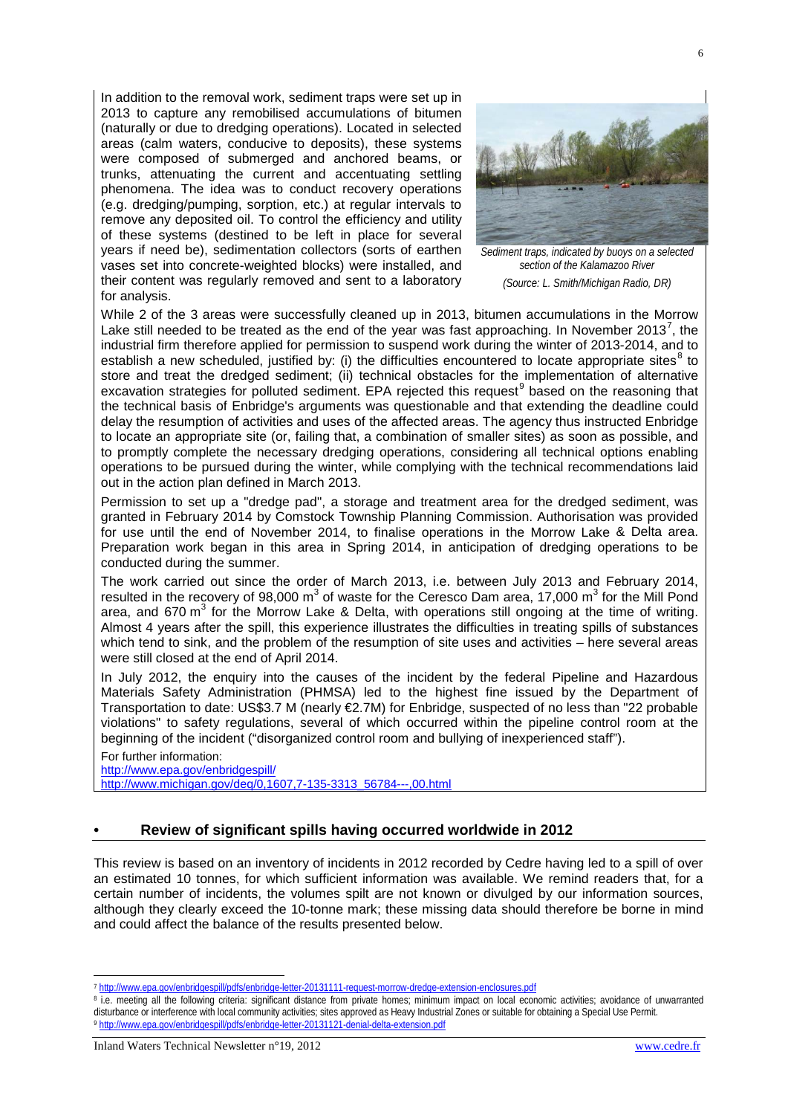In addition to the removal work, sediment traps were set up in 2013 to capture any remobilised accumulations of bitumen (naturally or due to dredging operations). Located in selected areas (calm waters, conducive to deposits), these systems were composed of submerged and anchored beams, or trunks, attenuating the current and accentuating settling phenomena. The idea was to conduct recovery operations (e.g. dredging/pumping, sorption, etc.) at regular intervals to remove any deposited oil. To control the efficiency and utility of these systems (destined to be left in place for several years if need be), sedimentation collectors (sorts of earthen vases set into concrete-weighted blocks) were installed, and their content was regularly removed and sent to a laboratory for analysis.



*Sediment traps, indicated by buoys on a selected section of the Kalamazoo River (Source: L. Smith/Michigan Radio, DR)*

While 2 of the 3 areas were successfully cleaned up in 2013, bitumen accumulations in the Morrow Lake still needed to be treated as the end of the year was fast approaching. In November 2013<sup>[7](#page-5-1)</sup>, the industrial firm therefore applied for permission to suspend work during the winter of 2013-2014, and to establish a new scheduled, justified by: (i) the difficulties encountered to locate appropriate sites $8$  to store and treat the dredged sediment; (ii) technical obstacles for the implementation of alternative excavation strategies for polluted sediment. EPA rejected this request<sup>[9](#page-5-3)</sup> based on the reasoning that the technical basis of Enbridge's arguments was questionable and that extending the deadline could delay the resumption of activities and uses of the affected areas. The agency thus instructed Enbridge to locate an appropriate site (or, failing that, a combination of smaller sites) as soon as possible, and to promptly complete the necessary dredging operations, considering all technical options enabling operations to be pursued during the winter, while complying with the technical recommendations laid out in the action plan defined in March 2013.

Permission to set up a "dredge pad", a storage and treatment area for the dredged sediment, was granted in February 2014 by Comstock Township Planning Commission. Authorisation was provided for use until the end of November 2014, to finalise operations in the Morrow Lake & Delta area. Preparation work began in this area in Spring 2014, in anticipation of dredging operations to be conducted during the summer.

The work carried out since the order of March 2013, i.e. between July 2013 and February 2014, resulted in the recovery of 98,000  $\text{m}^3$  of waste for the Ceresco Dam area, 17,000  $\text{m}^3$  for the Mill Pond area, and 670  $m^3$  for the Morrow Lake & Delta, with operations still ongoing at the time of writing. Almost 4 years after the spill, this experience illustrates the difficulties in treating spills of substances which tend to sink, and the problem of the resumption of site uses and activities – here several areas were still closed at the end of April 2014.

In July 2012, the enquiry into the causes of the incident by the federal Pipeline and Hazardous Materials Safety Administration (PHMSA) led to the highest fine issued by the Department of Transportation to date: US\$3.7 M (nearly €2.7M) for Enbridge, suspected of no less than "22 probable violations" to safety regulations, several of which occurred within the pipeline control room at the beginning of the incident ("disorganized control room and bullying of inexperienced staff").

For further information: <http://www.epa.gov/enbridgespill/> [http://www.michigan.gov/deq/0,1607,7-135-3313\\_56784---,00.html](http://www.michigan.gov/deq/0,1607,7-135-3313_56784---,00.html)

## <span id="page-5-0"></span>**• Review of significant spills having occurred worldwide in 2012**

This review is based on an inventory of incidents in 2012 recorded by Cedre having led to a spill of over an estimated 10 tonnes, for which sufficient information was available. We remind readers that, for a certain number of incidents, the volumes spilt are not known or divulged by our information sources, although they clearly exceed the 10-tonne mark; these missing data should therefore be borne in mind and could affect the balance of the results presented below.

-

<span id="page-5-1"></span><sup>7</sup> <http://www.epa.gov/enbridgespill/pdfs/enbridge-letter-20131111-request-morrow-dredge-extension-enclosures.pdf>

<span id="page-5-3"></span><span id="page-5-2"></span><sup>8</sup> i.e. meeting all the following criteria: significant distance from private homes; minimum impact on local economic activities; avoidance of unwarranted disturbance or interference with local community activities; sites approved as Heavy Industrial Zones or suitable for obtaining a Special Use Permit. <sup>9</sup> <http://www.epa.gov/enbridgespill/pdfs/enbridge-letter-20131121-denial-delta-extension.pdf>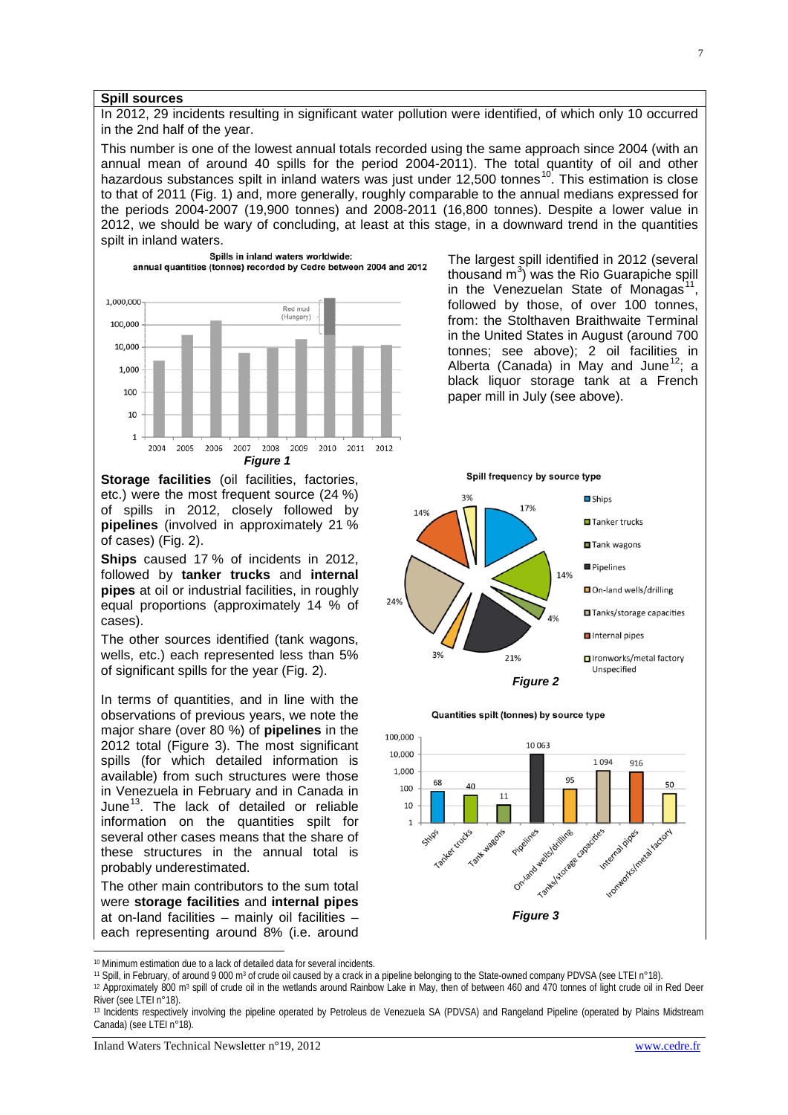#### <span id="page-6-0"></span>**Spill sources**

In 2012, 29 incidents resulting in significant water pollution were identified, of which only 10 occurred in the 2nd half of the year.

This number is one of the lowest annual totals recorded using the same approach since 2004 (with an annual mean of around 40 spills for the period 2004-2011). The total quantity of oil and other hazardous substances spilt in inland waters was just under 12,500 tonnes<sup>[10](#page-6-1)</sup>. This estimation is close to that of 2011 (Fig. 1) and, more generally, roughly comparable to the annual medians expressed for the periods 2004-2007 (19,900 tonnes) and 2008-2011 (16,800 tonnes). Despite a lower value in 2012, we should be wary of concluding, at least at this stage, in a downward trend in the quantities spilt in inland waters.



**Storage facilities** (oil facilities, factories, etc.) were the most frequent source (24 %) of spills in 2012, closely followed by **pipelines** (involved in approximately 21 % of cases) (Fig. 2).

**Ships** caused 17 % of incidents in 2012, followed by **tanker trucks** and **internal pipes** at oil or industrial facilities, in roughly equal proportions (approximately 14 % of cases).

The other sources identified (tank wagons, wells, etc.) each represented less than 5%

In terms of quantities, and in line with the observations of previous years, we note the major share (over 80 %) of **pipelines** in the 2012 total (Figure 3). The most significant spills (for which detailed information is available) from such structures were those in Venezuela in February and in Canada in June $^{13}$ . The lack of detailed or reliable information on the quantities spilt for several other cases means that the share of these structures in the annual total is probably underestimated.

The other main contributors to the sum total were **storage facilities** and **internal pipes** at on-land facilities – mainly oil facilities – each representing around 8% (i.e. around The largest spill identified in 2012 (several thousand  $m^3$ ) was the Rio Guarapiche spill in the Venezuelan State of Monagas<sup>[11](#page-6-2)</sup>, followed by those, of over 100 tonnes, from: the Stolthaven Braithwaite Terminal in the United States in August (around 700 tonnes; see above); 2 oil facilities in Alberta (Canada) in May and June<sup>12</sup>; a black liquor storage tank at a French paper mill in July (see above).



Quantities spilt (tonnes) by source type



<span id="page-6-1"></span><sup>10</sup> Minimum estimation due to a lack of detailed data for several incidents.

<span id="page-6-2"></span><sup>11</sup> Spill, in February, of around 9 000 m<sup>3</sup> of crude oil caused by a crack in a pipeline belonging to the State-owned company PDVSA (see LTEI n°18).

<span id="page-6-3"></span><sup>12</sup> Approximately 800 m3 spill of crude oil in the wetlands around Rainbow Lake in May, then of between 460 and 470 tonnes of light crude oil in Red Deer River (see LTEI n°18).

-

<span id="page-6-4"></span><sup>13</sup> Incidents respectively involving the pipeline operated by Petroleus de Venezuela SA (PDVSA) and Rangeland Pipeline (operated by Plains Midstream Canada) (see LTEI n°18).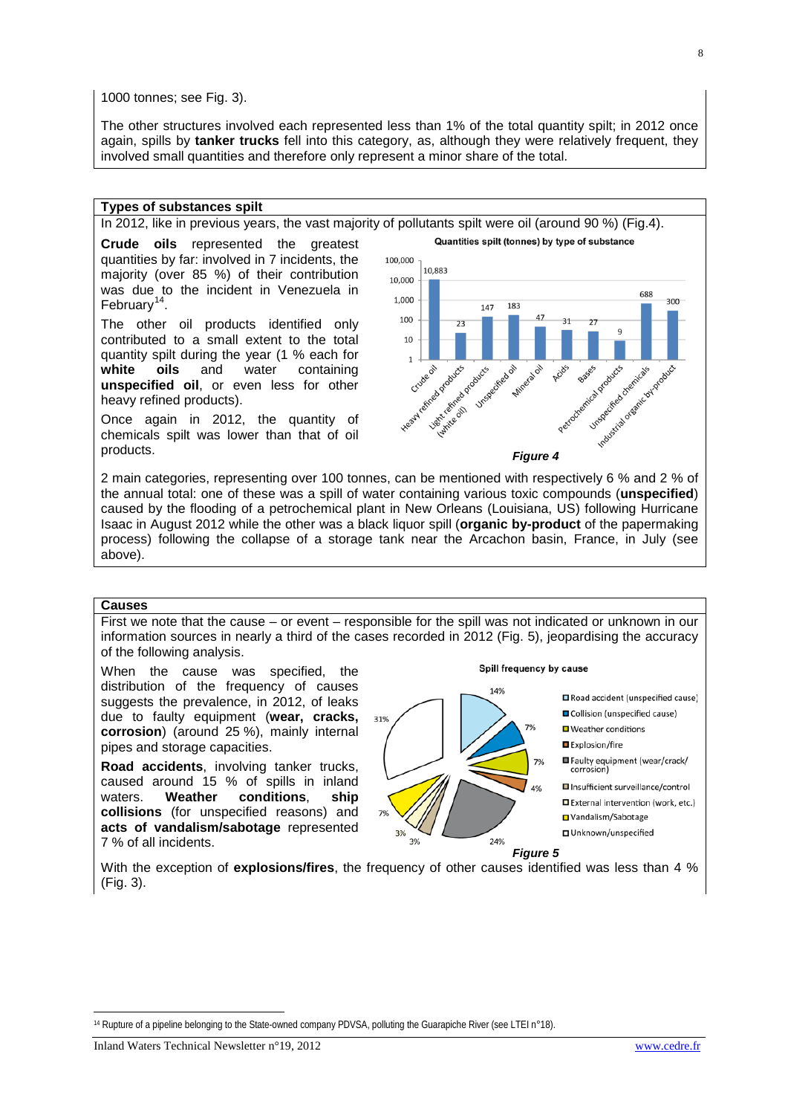1000 tonnes; see Fig. 3).

The other structures involved each represented less than 1% of the total quantity spilt; in 2012 once again, spills by **tanker trucks** fell into this category, as, although they were relatively frequent, they involved small quantities and therefore only represent a minor share of the total.

#### <span id="page-7-0"></span>**Types of substances spilt**

In 2012, like in previous years, the vast majority of pollutants spilt were oil (around 90 %) (Fig.4).

**Crude oils** represented the greatest quantities by far: involved in 7 incidents, the majority (over 85 %) of their contribution was due to the incident in Venezuela in February<sup>[14](#page-7-2)</sup>.

The other oil products identified only contributed to a small extent to the total quantity spilt during the year (1 % each for **white oils** and water containing **unspecified oil**, or even less for other heavy refined products).

Once again in 2012, the quantity of chemicals spilt was lower than that of oil Quantities spilt (tonnes) by type of substance



2 main categories, representing over 100 tonnes, can be mentioned with respectively 6 % and 2 % of the annual total: one of these was a spill of water containing various toxic compounds (**unspecified**) caused by the flooding of a petrochemical plant in New Orleans (Louisiana, US) following Hurricane Isaac in August 2012 while the other was a black liquor spill (**organic by-product** of the papermaking process) following the collapse of a storage tank near the Arcachon basin, France, in July (see above).

#### <span id="page-7-1"></span>**Causes**

First we note that the cause – or event – responsible for the spill was not indicated or unknown in our information sources in nearly a third of the cases recorded in 2012 (Fig. 5), jeopardising the accuracy of the following analysis.

When the cause was specified, the distribution of the frequency of causes suggests the prevalence, in 2012, of leaks due to faulty equipment (**wear, cracks, corrosion**) (around 25 %), mainly internal pipes and storage capacities.

**Road accidents**, involving tanker trucks, caused around 15 % of spills in inland<br>waters. Weather conditions. ship conditions. ship **collisions** (for unspecified reasons) and **acts of vandalism/sabotage** represented 7 % of all incidents.

Spill frequency by cause



With the exception of **explosions/fires**, the frequency of other causes identified was less than 4 % (Fig. 3).

<span id="page-7-2"></span><sup>1</sup> <sup>14</sup> Rupture of a pipeline belonging to the State-owned company PDVSA, polluting the Guarapiche River (see LTEI n°18).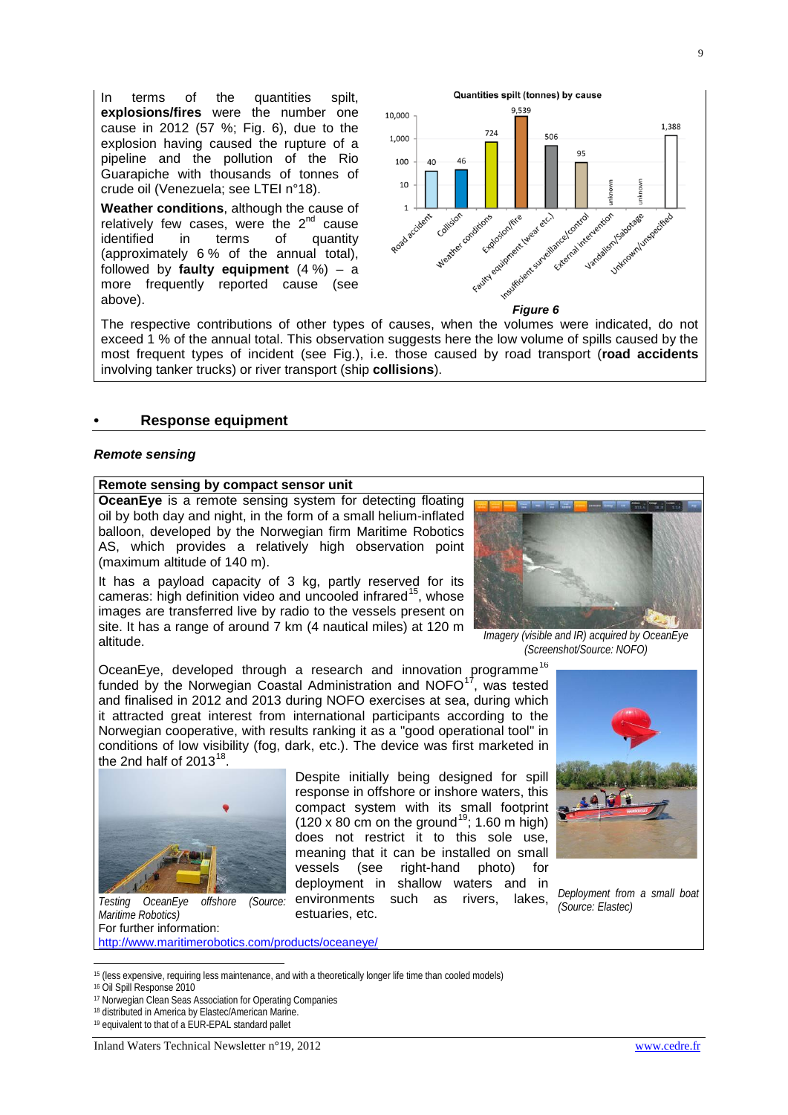In terms of the quantities spilt, **explosions/fires** were the number one cause in 2012 (57 %; Fig. 6), due to the explosion having caused the rupture of a pipeline and the pollution of the Rio Guarapiche with thousands of tonnes of crude oil (Venezuela; see LTEI n°18).

**Weather conditions**, although the cause of relatively few cases, were the  $2^{nd}$  cause<br>identified in terms of quantity quantity (approximately 6 % of the annual total), followed by **faulty equipment**  $(4\%) - a$ more frequently reported cause (see



The respective contributions of other types of causes, when the volumes were indicated, do not exceed 1 % of the annual total. This observation suggests here the low volume of spills caused by the most frequent types of incident (see Fig.), i.e. those caused by road transport (**road accidents** involving tanker trucks) or river transport (ship **collisions**).

#### <span id="page-8-0"></span>**• Response equipment**

#### *Remote sensing*

## <span id="page-8-1"></span>**Remote sensing by compact sensor unit**

**OceanEye** is a remote sensing system for detecting floating oil by both day and night, in the form of a small helium-inflated balloon, developed by the Norwegian firm Maritime Robotics AS, which provides a relatively high observation point (maximum altitude of 140 m).

It has a payload capacity of 3 kg, partly reserved for its cameras: high definition video and uncooled infrared<sup>[15](#page-8-2)</sup>, whose images are transferred live by radio to the vessels present on site. It has a range of around 7 km (4 nautical miles) at 120 m altitude. *Imagery (visible and IR) acquired by OceanEye* 



*(Screenshot/Source: NOFO)*

OceanEye, developed through a research and innovation programme<sup>[16](#page-8-3)</sup> funded by the Norwegian Coastal Administration and  $NOPO<sup>17</sup>$  $NOPO<sup>17</sup>$  $NOPO<sup>17</sup>$ , was tested and finalised in 2012 and 2013 during NOFO exercises at sea, during which it attracted great interest from international participants according to the Norwegian cooperative, with results ranking it as a "good operational tool" in conditions of low visibility (fog, dark, etc.). The device was first marketed in the 2nd half of  $2013^{18}$ .



*Maritime Robotics)* For further information: <http://www.maritimerobotics.com/products/oceaneye/>

*(Source: Elastec) Testing OceanEye offshore (Source:*  environments such as rivers, lakes, Despite initially being designed for spill response in offshore or inshore waters, this compact system with its small footprint  $(120 \times 80 \text{ cm})$  on the ground<sup>[19](#page-8-6)</sup>; 1.60 m high) does not restrict it to this sole use, meaning that it can be installed on small vessels (see right-hand photo) for deployment in shallow waters and in estuaries, etc.



*Deployment from a small boat*

<span id="page-8-2"></span><sup>15</sup> (less expensive, requiring less maintenance, and with a theoretically longer life time than cooled models)

<sup>16</sup> Oil Spill Response 2010

1

<span id="page-8-4"></span><span id="page-8-3"></span><sup>17</sup> Norwegian Clean Seas Association for Operating Companies

<sup>18</sup> distributed in America by Elastec/American Marine.

<span id="page-8-6"></span><span id="page-8-5"></span><sup>19</sup> equivalent to that of a EUR-EPAL standard pallet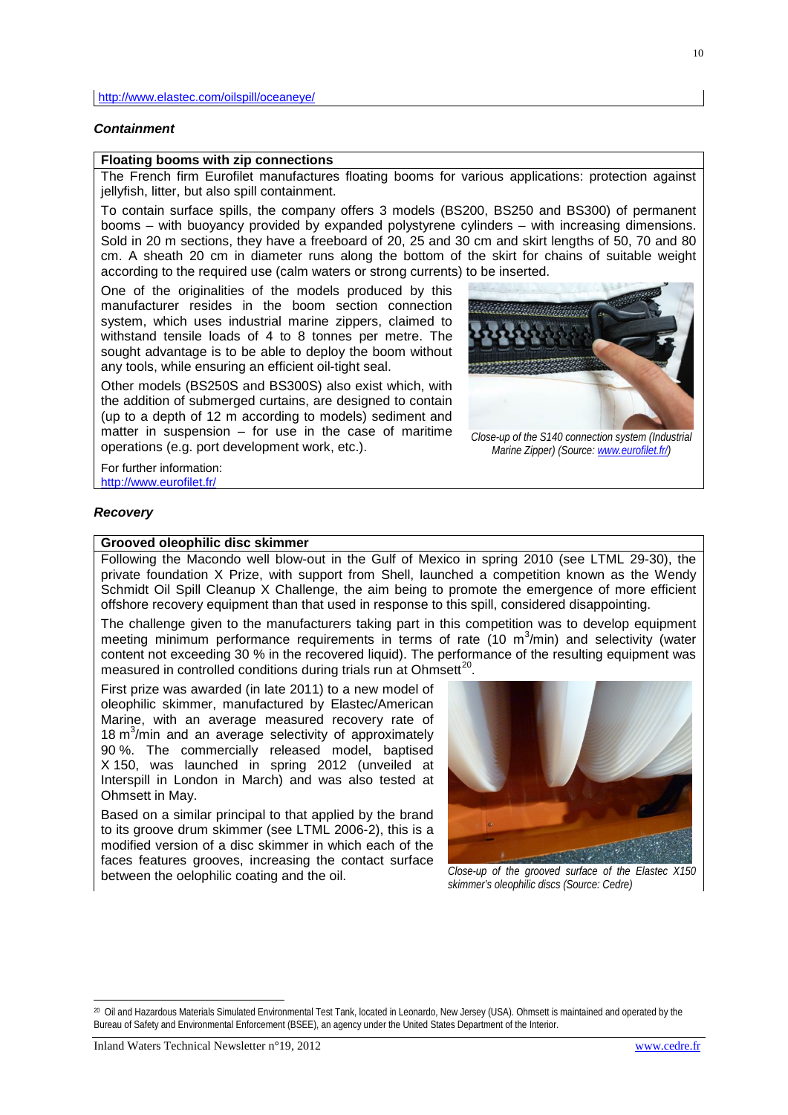#### *Containment*

## <span id="page-9-0"></span>**Floating booms with zip connections**

The French firm Eurofilet manufactures floating booms for various applications: protection against jellyfish, litter, but also spill containment.

To contain surface spills, the company offers 3 models (BS200, BS250 and BS300) of permanent booms – with buoyancy provided by expanded polystyrene cylinders – with increasing dimensions. Sold in 20 m sections, they have a freeboard of 20, 25 and 30 cm and skirt lengths of 50, 70 and 80 cm. A sheath 20 cm in diameter runs along the bottom of the skirt for chains of suitable weight according to the required use (calm waters or strong currents) to be inserted.

One of the originalities of the models produced by this manufacturer resides in the boom section connection system, which uses industrial marine zippers, claimed to withstand tensile loads of 4 to 8 tonnes per metre. The sought advantage is to be able to deploy the boom without any tools, while ensuring an efficient oil-tight seal.

Other models (BS250S and BS300S) also exist which, with the addition of submerged curtains, are designed to contain (up to a depth of 12 m according to models) sediment and matter in suspension – for use in the case of maritime operations (e.g. port development work, etc.).



*Close-up of the S140 connection system (Industrial Marine Zipper) (Source: [www.eurofilet.fr/\)](http://www.eurofilet.fr/)*

For further information: <http://www.eurofilet.fr/>

#### *Recovery*

#### <span id="page-9-1"></span>**Grooved oleophilic disc skimmer**

Following the Macondo well blow-out in the Gulf of Mexico in spring 2010 (see LTML 29-30), the private foundation X Prize, with support from Shell, launched a competition known as the Wendy Schmidt Oil Spill Cleanup X Challenge, the aim being to promote the emergence of more efficient offshore recovery equipment than that used in response to this spill, considered disappointing.

The challenge given to the manufacturers taking part in this competition was to develop equipment meeting minimum performance requirements in terms of rate  $(10 \text{ m}^3/\text{min})$  and selectivity (water content not exceeding 30 % in the recovered liquid). The performance of the resulting equipment was measured in controlled conditions during trials run at Ohmsett<sup>[20](#page-9-2)</sup>.

First prize was awarded (in late 2011) to a new model of oleophilic skimmer, manufactured by Elastec/American Marine, with an average measured recovery rate of 18 m<sup>3</sup>/min and an average selectivity of approximately 90 %. The commercially released model, baptised X 150, was launched in spring 2012 (unveiled at Interspill in London in March) and was also tested at Ohmsett in May.

Based on a similar principal to that applied by the brand to its groove drum skimmer (see LTML 2006-2), this is a modified version of a disc skimmer in which each of the faces features grooves, increasing the contact surface between the oelophilic coating and the oil. *Close-up of the grooved surface of the Elastec X150* 



*skimmer's oleophilic discs (Source: Cedre)*

-

<span id="page-9-2"></span><sup>20</sup> Oil and Hazardous Materials Simulated Environmental Test Tank, located in Leonardo, New Jersey (USA). Ohmsett is maintained and operated by the Bureau of Safety and Environmental Enforcement (BSEE), an agency under the United States Department of the Interior.